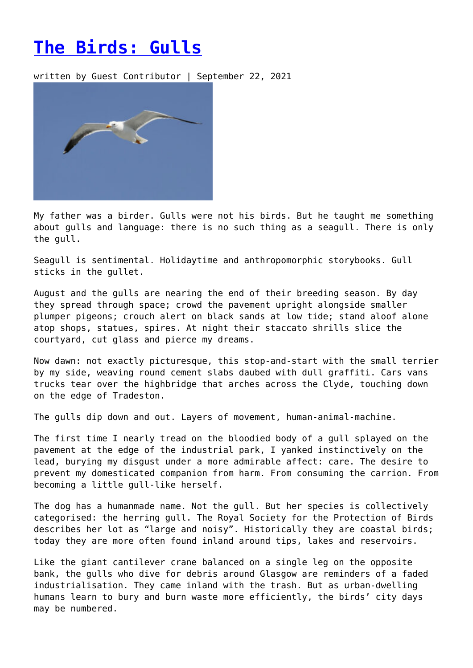## **[The Birds: Gulls](https://entropymag.org/the-birds-gulls/)**

written by Guest Contributor | September 22, 2021



My father was a birder. Gulls were not his birds. But he taught me something about gulls and language: there is no such thing as a seagull. There is only the gull.

Seagull is sentimental. Holidaytime and anthropomorphic storybooks. Gull sticks in the gullet.

August and the gulls are nearing the end of their breeding season. By day they spread through space; crowd the pavement upright alongside smaller plumper pigeons; crouch alert on black sands at low tide; stand aloof alone atop shops, statues, spires. At night their staccato shrills slice the courtyard, cut glass and pierce my dreams.

Now dawn: not exactly picturesque, this stop-and-start with the small terrier by my side, weaving round cement slabs daubed with dull graffiti. Cars vans trucks tear over the highbridge that arches across the Clyde, touching down on the edge of Tradeston.

The gulls dip down and out. Layers of movement, human-animal-machine.

The first time I nearly tread on the bloodied body of a gull splayed on the pavement at the edge of the industrial park, I yanked instinctively on the lead, burying my disgust under a more admirable affect: care. The desire to prevent my domesticated companion from harm. From consuming the carrion. From becoming a little gull-like herself.

The dog has a humanmade name. Not the gull. But her species is collectively categorised: the herring gull. The Royal Society for the Protection of Birds describes her lot as "large and noisy". Historically they are coastal birds; today they are more often found inland around tips, lakes and reservoirs.

Like the giant cantilever crane balanced on a single leg on the opposite bank, the gulls who dive for debris around Glasgow are reminders of a faded industrialisation. They came inland with the trash. But as urban-dwelling humans learn to bury and burn waste more efficiently, the birds' city days may be numbered.